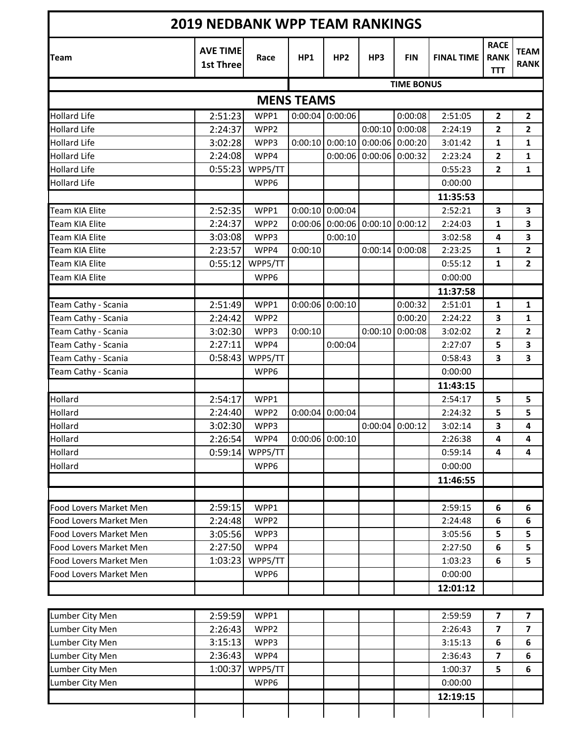| <b>2019 NEDBANK WPP TEAM RANKINGS</b> |                                     |                   |                   |                           |                           |                                   |                   |                                          |                            |  |
|---------------------------------------|-------------------------------------|-------------------|-------------------|---------------------------|---------------------------|-----------------------------------|-------------------|------------------------------------------|----------------------------|--|
| <b>Team</b>                           | <b>AVE TIME</b><br><b>1st Three</b> | Race              | HP1               | HP <sub>2</sub>           | HP3                       | <b>FIN</b>                        | <b>FINAL TIME</b> | <b>RACE</b><br><b>RANK</b><br><b>TTT</b> | <b>TEAM</b><br><b>RANK</b> |  |
|                                       |                                     | <b>TIME BONUS</b> |                   |                           |                           |                                   |                   |                                          |                            |  |
|                                       |                                     |                   | <b>MENS TEAMS</b> |                           |                           |                                   |                   |                                          |                            |  |
| <b>Hollard Life</b>                   | 2:51:23                             | WPP1              |                   | $0:00:04$ 0:00:06         |                           | 0:00:08                           | 2:51:05           | $\mathbf{2}$                             | $\mathbf{2}$               |  |
| <b>Hollard Life</b>                   | 2:24:37                             | WPP2              |                   |                           | 0:00:10                   | 0:00:08                           | 2:24:19           | $\mathbf{2}$                             | $\overline{\mathbf{c}}$    |  |
| <b>Hollard Life</b>                   | 3:02:28                             | WPP3              |                   |                           |                           | $0:00:10$ 0:00:10 0:00:06 0:00:20 | 3:01:42           | 1                                        | 1                          |  |
| <b>Hollard Life</b>                   | 2:24:08                             | WPP4              |                   |                           | $0:00:06$ 0:00:06 0:00:32 |                                   | 2:23:24           | $\overline{2}$                           | $\mathbf{1}$               |  |
| <b>Hollard Life</b>                   | 0:55:23                             | WPP5/TT           |                   |                           |                           |                                   | 0:55:23           | $\overline{2}$                           | $\mathbf{1}$               |  |
| <b>Hollard Life</b>                   |                                     | WPP6              |                   |                           |                           |                                   | 0:00:00           |                                          |                            |  |
|                                       |                                     |                   |                   |                           |                           |                                   | 11:35:53          |                                          |                            |  |
| <b>Team KIA Elite</b>                 | 2:52:35                             | WPP1              |                   | $0:00:10$ 0:00:04         |                           |                                   | 2:52:21           | 3                                        | 3                          |  |
| Team KIA Elite                        | 2:24:37                             | WPP2              |                   | $0:00:06$ 0:00:06 0:00:10 |                           | 0:00:12                           | 2:24:03           | $\mathbf{1}$                             | 3                          |  |
| Team KIA Elite                        | 3:03:08                             | WPP3              |                   | 0:00:10                   |                           |                                   | 3:02:58           | 4                                        | 3                          |  |
| Team KIA Elite                        | 2:23:57                             | WPP4              | 0:00:10           |                           | 0:00:14                   | 0:00:08                           | 2:23:25           | 1                                        | $\overline{2}$             |  |
| <b>Team KIA Elite</b>                 | 0:55:12                             | WPP5/TT           |                   |                           |                           |                                   | 0:55:12           | $\mathbf{1}$                             | $\overline{2}$             |  |
| Team KIA Elite                        |                                     | WPP6              |                   |                           |                           |                                   | 0:00:00           |                                          |                            |  |
|                                       |                                     |                   |                   |                           |                           |                                   | 11:37:58          |                                          |                            |  |
| Team Cathy - Scania                   | 2:51:49                             | WPP1              |                   | $0:00:06$ 0:00:10         |                           | 0:00:32                           | 2:51:01           | 1                                        | $\mathbf{1}$               |  |
| Team Cathy - Scania                   | 2:24:42                             | WPP2              |                   |                           |                           | 0:00:20                           | 2:24:22           | 3                                        | $\mathbf{1}$               |  |
| Team Cathy - Scania                   | 3:02:30                             | WPP3              | 0:00:10           |                           | 0:00:10                   | 0:00:08                           | 3:02:02           | $\overline{2}$                           | $\overline{2}$             |  |
| Team Cathy - Scania                   | 2:27:11                             | WPP4              |                   | 0:00:04                   |                           |                                   | 2:27:07           | 5                                        | 3                          |  |
| Team Cathy - Scania                   | 0:58:43                             | WPP5/TT           |                   |                           |                           |                                   | 0:58:43           | 3                                        | 3                          |  |
| Team Cathy - Scania                   |                                     | WPP6              |                   |                           |                           |                                   | 0:00:00           |                                          |                            |  |
|                                       |                                     |                   |                   |                           |                           |                                   | 11:43:15          |                                          |                            |  |
| Hollard                               | 2:54:17                             | WPP1              |                   |                           |                           |                                   | 2:54:17           | 5                                        | 5                          |  |
| Hollard                               | 2:24:40                             | WPP2              | 0:00:04           | 0:00:04                   |                           |                                   | 2:24:32           | 5                                        | 5                          |  |
| Hollard                               | 3:02:30                             | WPP3              |                   |                           |                           | $0:00:04$ 0:00:12                 | 3:02:14           | 3                                        | $\overline{\mathbf{4}}$    |  |
| Hollard                               | 2:26:54                             | WPP4              |                   | $0:00:06$ 0:00:10         |                           |                                   | 2:26:38           | 4                                        | 4                          |  |
| Hollard                               | 0:59:14                             | WPP5/TT           |                   |                           |                           |                                   | 0:59:14           | 4                                        | 4                          |  |
| Hollard                               |                                     | WPP6              |                   |                           |                           |                                   | 0:00:00           |                                          |                            |  |
|                                       |                                     |                   |                   |                           |                           |                                   | 11:46:55          |                                          |                            |  |
|                                       |                                     |                   |                   |                           |                           |                                   |                   |                                          |                            |  |
| Food Lovers Market Men                | 2:59:15                             | WPP1              |                   |                           |                           |                                   | 2:59:15           | 6                                        | 6                          |  |
| Food Lovers Market Men                | 2:24:48                             | WPP2              |                   |                           |                           |                                   | 2:24:48           | 6                                        | $\bf 6$                    |  |
| Food Lovers Market Men                | 3:05:56                             | WPP3              |                   |                           |                           |                                   | 3:05:56           | 5                                        | 5                          |  |
| Food Lovers Market Men                | 2:27:50                             | WPP4              |                   |                           |                           |                                   | 2:27:50           | 6                                        | 5                          |  |
| Food Lovers Market Men                | 1:03:23                             | WPP5/TT           |                   |                           |                           |                                   | 1:03:23           | 6                                        | 5                          |  |
| Food Lovers Market Men                |                                     | WPP6              |                   |                           |                           |                                   | 0:00:00           |                                          |                            |  |
|                                       |                                     |                   |                   |                           |                           |                                   | 12:01:12          |                                          |                            |  |
|                                       |                                     |                   |                   |                           |                           |                                   |                   |                                          |                            |  |
| Lumber City Men                       | 2:59:59                             | WPP1              |                   |                           |                           |                                   | 2:59:59           | 7                                        | 7                          |  |
| Lumber City Men                       | 2:26:43                             | WPP2              |                   |                           |                           |                                   | 2:26:43           | $\overline{\mathbf{z}}$                  | $\overline{\mathbf{z}}$    |  |
| Lumber City Men                       | 3:15:13                             | WPP3              |                   |                           |                           |                                   | 3:15:13           | 6                                        | $\bf 6$                    |  |
| Lumber City Men                       | 2:36:43                             | WPP4              |                   |                           |                           |                                   | 2:36:43           | $\overline{\mathbf{z}}$                  | $\bf 6$                    |  |
| Lumber City Men                       | 1:00:37                             | WPP5/TT           |                   |                           |                           |                                   | 1:00:37           | 5                                        | 6                          |  |
| Lumber City Men                       |                                     | WPP6              |                   |                           |                           |                                   | 0:00:00           |                                          |                            |  |
|                                       |                                     |                   |                   |                           |                           |                                   | 12:19:15          |                                          |                            |  |
|                                       |                                     |                   |                   |                           |                           |                                   |                   |                                          |                            |  |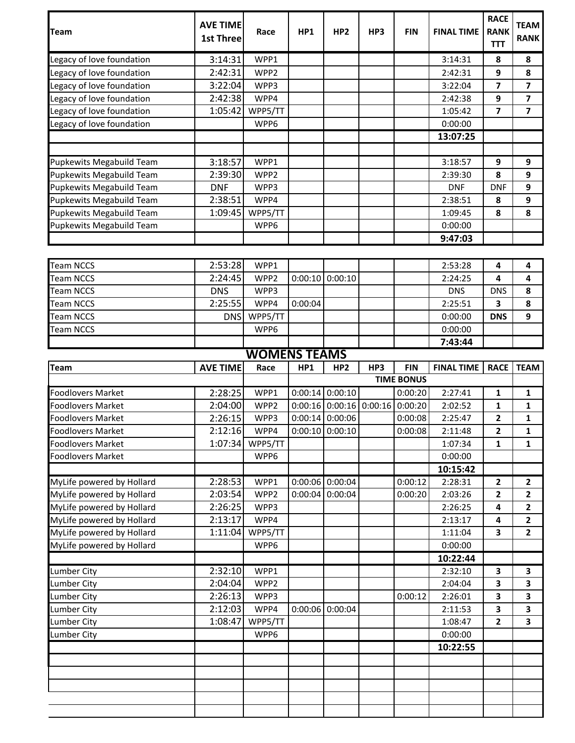| <b>Team</b>               | <b>AVE TIME</b><br><b>1st Three</b> | Race                | HP1     | HP <sub>2</sub>     | HP3     | <b>FIN</b>        | <b>FINAL TIME</b> | <b>RACE</b><br><b>RANK</b> | <b>TEAM</b><br><b>RANK</b> |
|---------------------------|-------------------------------------|---------------------|---------|---------------------|---------|-------------------|-------------------|----------------------------|----------------------------|
|                           |                                     |                     |         |                     |         |                   |                   | <b>TTT</b>                 |                            |
| Legacy of love foundation | 3:14:31                             | WPP1                |         |                     |         |                   | 3:14:31           | 8                          | 8                          |
| Legacy of love foundation | 2:42:31                             | WPP <sub>2</sub>    |         |                     |         |                   | 2:42:31           | 9                          | 8                          |
| Legacy of love foundation | 3:22:04                             | WPP3                |         |                     |         |                   | 3:22:04           | 7                          | 7                          |
| Legacy of love foundation | 2:42:38                             | WPP4                |         |                     |         |                   | 2:42:38           | 9                          | $\overline{\mathbf{z}}$    |
| Legacy of love foundation | 1:05:42                             | WPP5/TT             |         |                     |         |                   | 1:05:42           | 7                          | 7                          |
| Legacy of love foundation |                                     | WPP6                |         |                     |         |                   | 0:00:00           |                            |                            |
|                           |                                     |                     |         |                     |         |                   | 13:07:25          |                            |                            |
| Pupkewits Megabuild Team  | 3:18:57                             | WPP1                |         |                     |         |                   | 3:18:57           | 9                          | 9                          |
| Pupkewits Megabuild Team  | 2:39:30                             | WPP <sub>2</sub>    |         |                     |         |                   | 2:39:30           | 8                          | 9                          |
| Pupkewits Megabuild Team  | <b>DNF</b>                          | WPP3                |         |                     |         |                   | <b>DNF</b>        | <b>DNF</b>                 | 9                          |
| Pupkewits Megabuild Team  | 2:38:51                             | WPP4                |         |                     |         |                   | 2:38:51           | 8                          | 9                          |
| Pupkewits Megabuild Team  | 1:09:45                             | WPP5/TT             |         |                     |         |                   | 1:09:45           | 8                          | 8                          |
| Pupkewits Megabuild Team  |                                     | WPP6                |         |                     |         |                   | 0:00:00           |                            |                            |
|                           |                                     |                     |         |                     |         |                   | 9:47:03           |                            |                            |
|                           |                                     |                     |         |                     |         |                   |                   |                            |                            |
| <b>Team NCCS</b>          | 2:53:28                             | WPP1                |         |                     |         |                   | 2:53:28           | 4                          | 4                          |
| <b>Team NCCS</b>          | 2:24:45                             | WPP2                | 0:00:10 | 0:00:10             |         |                   | 2:24:25           | 4                          | 4                          |
| <b>Team NCCS</b>          | <b>DNS</b>                          | WPP3                |         |                     |         |                   | <b>DNS</b>        | <b>DNS</b>                 | 8                          |
| <b>Team NCCS</b>          | 2:25:55                             | WPP4                | 0:00:04 |                     |         |                   | 2:25:51           | 3                          | 8                          |
| <b>Team NCCS</b>          | <b>DNS</b>                          | WPP5/TT             |         |                     |         |                   | 0:00:00           | <b>DNS</b>                 | 9                          |
| <b>Team NCCS</b>          |                                     | WPP6                |         |                     |         |                   | 0:00:00           |                            |                            |
|                           |                                     |                     |         |                     |         |                   | 7:43:44           |                            |                            |
|                           |                                     | <b>WOMENS TEAMS</b> |         |                     |         |                   |                   |                            |                            |
| Team                      | <b>AVE TIME</b>                     | Race                | HP1     | HP <sub>2</sub>     | HP3     | <b>FIN</b>        | <b>FINAL TIME</b> | <b>RACE</b>                | <b>TEAM</b>                |
|                           |                                     |                     |         |                     |         | <b>TIME BONUS</b> |                   |                            |                            |
| <b>Foodlovers Market</b>  | 2:28:25                             | WPP1                | 0:00:14 | 0:00:10             |         | 0:00:20           | 2:27:41           | 1                          | 1                          |
| <b>Foodlovers Market</b>  | 2:04:00                             | WPP2                |         | $0:00:16$ $0:00:16$ | 0:00:16 | 0:00:20           | 2:02:52           | 1                          | 1                          |
| <b>Foodlovers Market</b>  | 2:26:15                             | WPP3                |         | $0:00:14$ 0:00:06   |         | 0:00:08           | 2:25:47           | 2                          | 1                          |
| Foodlovers Market         | 2:12:16                             | WPP4                |         | $0:00:10$ $0:00:10$ |         | 0:00:08           | 2:11:48           | $\mathbf{z}$               | 1                          |
| <b>Foodlovers Market</b>  | 1:07:34                             | WPP5/TT             |         |                     |         |                   |                   |                            | $\mathbf{1}$               |
| <b>Foodlovers Market</b>  |                                     | WPP6                |         |                     |         |                   | 1:07:34           | $\mathbf{1}$               |                            |
|                           |                                     |                     |         |                     |         |                   | 0:00:00           |                            |                            |
|                           |                                     |                     |         |                     |         |                   | 10:15:42          |                            |                            |
| MyLife powered by Hollard | 2:28:53                             | WPP1                |         | 0:00:06 0:00:04     |         | 0:00:12           | 2:28:31           | $\mathbf{2}$               | 2                          |
| MyLife powered by Hollard | 2:03:54                             | WPP2                | 0:00:04 | 0:00:04             |         | 0:00:20           | 2:03:26           | 2                          | $\mathbf{2}$               |
| MyLife powered by Hollard | 2:26:25                             | WPP3                |         |                     |         |                   | 2:26:25           | 4                          | 2                          |
| MyLife powered by Hollard | 2:13:17                             | WPP4                |         |                     |         |                   | 2:13:17           | 4                          | 2                          |
| MyLife powered by Hollard | 1:11:04                             | WPP5/TT             |         |                     |         |                   | 1:11:04           | 3                          | 2                          |
| MyLife powered by Hollard |                                     | WPP6                |         |                     |         |                   | 0:00:00           |                            |                            |
|                           |                                     |                     |         |                     |         |                   | 10:22:44          |                            |                            |
| <b>Lumber City</b>        | 2:32:10                             | WPP1                |         |                     |         |                   | 2:32:10           | 3                          | 3                          |
| <b>Lumber City</b>        | 2:04:04                             | WPP2                |         |                     |         |                   | 2:04:04           | 3                          | 3                          |
| <b>Lumber City</b>        | 2:26:13                             | WPP3                |         |                     |         | 0:00:12           | 2:26:01           | 3                          | 3                          |
| <b>Lumber City</b>        | 2:12:03                             | WPP4                |         | 0:00:06 0:00:04     |         |                   | 2:11:53           | 3                          | 3                          |
| <b>Lumber City</b>        | 1:08:47                             | WPP5/TT             |         |                     |         |                   | 1:08:47           | $\mathbf{2}$               | 3                          |
| <b>Lumber City</b>        |                                     | WPP6                |         |                     |         |                   | 0:00:00           |                            |                            |
|                           |                                     |                     |         |                     |         |                   | 10:22:55          |                            |                            |
|                           |                                     |                     |         |                     |         |                   |                   |                            |                            |
|                           |                                     |                     |         |                     |         |                   |                   |                            |                            |
|                           |                                     |                     |         |                     |         |                   |                   |                            |                            |
|                           |                                     |                     |         |                     |         |                   |                   |                            |                            |